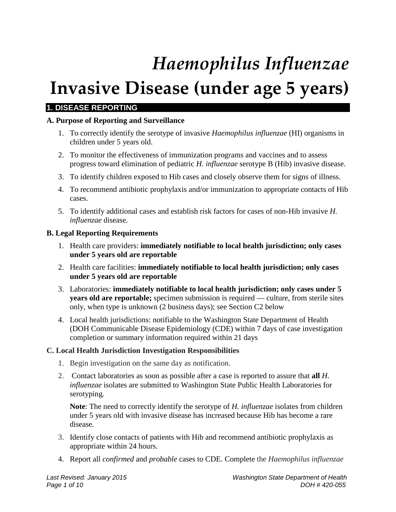# *Haemophilus Influenzae*

# **Invasive Disease (under age 5 years)**

# **1. DISEASE REPORTING**

# **A. Purpose of Reporting and Surveillance**

- 1. To correctly identify the serotype of invasive *Haemophilus influenzae* (HI) organisms in children under 5 years old.
- 2. To monitor the effectiveness of immunization programs and vaccines and to assess progress toward elimination of pediatric *H. influenzae* serotype B (Hib) invasive disease.
- 3. To identify children exposed to Hib cases and closely observe them for signs of illness.
- 4. To recommend antibiotic prophylaxis and/or immunization to appropriate contacts of Hib cases.
- 5. To identify additional cases and establish risk factors for cases of non-Hib invasive *H. influenzae* disease.

#### **B. Legal Reporting Requirements**

- 1. Health care providers: **immediately notifiable to local health jurisdiction; only cases under 5 years old are reportable**
- 2. Health care facilities: **immediately notifiable to local health jurisdiction; only cases under 5 years old are reportable**
- 3. Laboratories: **immediately notifiable to local health jurisdiction; only cases under 5 years old are reportable;** specimen submission is required — culture, from sterile sites only, when type is unknown (2 business days); see Section C2 below
- 4. Local health jurisdictions: notifiable to the Washington State Department of Health (DOH Communicable Disease Epidemiology (CDE) within 7 days of case investigation completion or summary information required within 21 days

# **C. Local Health Jurisdiction Investigation Responsibilities**

- 1. Begin investigation on the same day as notification.
- 2. Contact laboratories as soon as possible after a case is reported to assure that **all** *H. influenzae* isolates are submitted to Washington State Public Health Laboratories for serotyping.

**Note**: The need to correctly identify the serotype of *H. influenzae* isolates from children under 5 years old with invasive disease has increased because Hib has become a rare disease.

- 3. Identify close contacts of patients with Hib and recommend antibiotic prophylaxis as appropriate within 24 hours.
- 4. Report all *confirmed* and *probable* cases to CDE. Complete the *Haemophilus influenzae*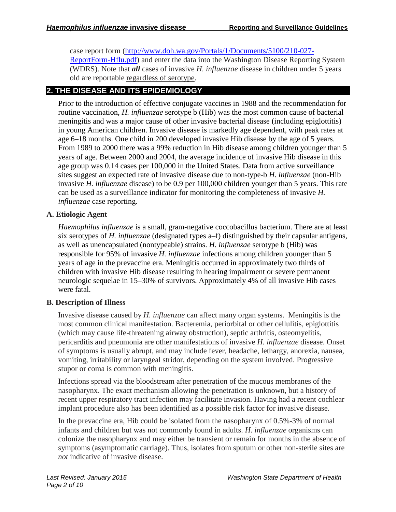case report form [\(http://www.doh.wa.gov/Portals/1/Documents/5100/210-027-](http://www.doh.wa.gov/Portals/1/Documents/5100/210-027-ReportForm-Hflu.pdf) [ReportForm-Hflu.pdf\)](http://www.doh.wa.gov/Portals/1/Documents/5100/210-027-ReportForm-Hflu.pdf) and enter the data into the Washington Disease Reporting System (WDRS). Note that *all* cases of invasive *H. influenzae* disease in children under 5 years old are reportable regardless of serotype.

# **2. THE DISEASE AND ITS EPIDEMIOLOGY**

Prior to the introduction of effective conjugate vaccines in 1988 and the recommendation for routine vaccination, *H. influenzae* serotype b (Hib) was the most common cause of bacterial meningitis and was a major cause of other invasive bacterial disease (including epiglottitis) in young American children. Invasive disease is markedly age dependent, with peak rates at age 6–18 months. One child in 200 developed invasive Hib disease by the age of 5 years. From 1989 to 2000 there was a 99% reduction in Hib disease among children younger than 5 years of age. Between 2000 and 2004, the average incidence of invasive Hib disease in this age group was 0.14 cases per 100,000 in the United States. Data from active surveillance sites suggest an expected rate of invasive disease due to non-type-b *H. influenzae* (non-Hib invasive *H. influenzae* disease) to be 0.9 per 100,000 children younger than 5 years. This rate can be used as a surveillance indicator for monitoring the completeness of invasive *H. influenzae* case reporting.

# **A. Etiologic Agent**

*Haemophilus influenzae* is a small, gram-negative coccobacillus bacterium. There are at least six serotypes of *H. influenzae* (designated types a–f) distinguished by their capsular antigens, as well as unencapsulated (nontypeable) strains. *H. influenzae* serotype b (Hib) was responsible for 95% of invasive *H. influenzae* infections among children younger than 5 years of age in the prevaccine era. Meningitis occurred in approximately two thirds of children with invasive Hib disease resulting in hearing impairment or severe permanent neurologic sequelae in 15–30% of survivors. Approximately 4% of all invasive Hib cases were fatal.

# **B. Description of Illness**

Invasive disease caused by *H. influenzae* can affect many organ systems. Meningitis is the most common clinical manifestation. Bacteremia, periorbital or other cellulitis, epiglottitis (which may cause life-threatening airway obstruction), septic arthritis, osteomyelitis, pericarditis and pneumonia are other manifestations of invasive *H. influenzae* disease. Onset of symptoms is usually abrupt, and may include fever, headache, lethargy, anorexia, nausea, vomiting, irritability or laryngeal stridor, depending on the system involved. Progressive stupor or coma is common with meningitis.

Infections spread via the bloodstream after penetration of the mucous membranes of the nasopharynx. The exact mechanism allowing the penetration is unknown, but a history of recent upper respiratory tract infection may facilitate invasion. Having had a recent cochlear implant procedure also has been identified as a possible risk factor for invasive disease.

In the prevaccine era, Hib could be isolated from the nasopharynx of 0.5%-3% of normal infants and children but was not commonly found in adults. *H. influenzae* organisms can colonize the nasopharynx and may either be transient or remain for months in the absence of symptoms (asymptomatic carriage). Thus, isolates from sputum or other non-sterile sites are *not* indicative of invasive disease.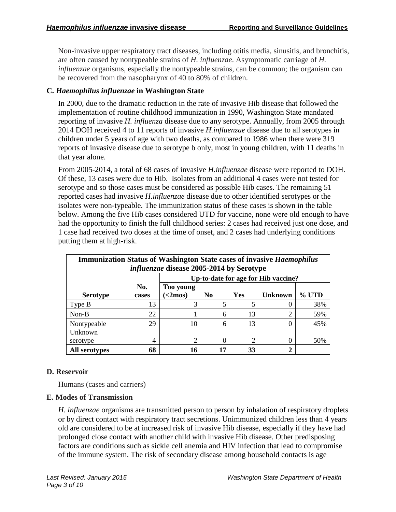Non-invasive upper respiratory tract diseases, including otitis media, sinusitis, and bronchitis, are often caused by nontypeable strains of *H. influenzae*. Asymptomatic carriage of *H. influenzae* organisms, especially the nontypeable strains, can be common; the organism can be recovered from the nasopharynx of 40 to 80% of children.

# **C.** *Haemophilus influenzae* **in Washington State**

In 2000, due to the dramatic reduction in the rate of invasive Hib disease that followed the implementation of routine childhood immunization in 1990, Washington State mandated reporting of invasive *H. influenza* disease due to any serotype. Annually, from 2005 through 2014 DOH received 4 to 11 reports of invasive *H.influenzae* disease due to all serotypes in children under 5 years of age with two deaths, as compared to 1986 when there were 319 reports of invasive disease due to serotype b only, most in young children, with 11 deaths in that year alone.

From 2005-2014, a total of 68 cases of invasive *H.influenzae* disease were reported to DOH. Of these, 13 cases were due to Hib. Isolates from an additional 4 cases were not tested for serotype and so those cases must be considered as possible Hib cases. The remaining 51 reported cases had invasive *H.influenzae* disease due to other identified serotypes or the isolates were non-typeable. The immunization status of these cases is shown in the table below. Among the five Hib cases considered UTD for vaccine, none were old enough to have had the opportunity to finish the full childhood series: 2 cases had received just one dose, and 1 case had received two doses at the time of onset, and 2 cases had underlying conditions putting them at high-risk.

| <b>Immunization Status of Washington State cases of invasive Haemophilus</b><br><i>influenzae</i> disease 2005-2014 by Serotype |              |                                     |                |     |                |       |
|---------------------------------------------------------------------------------------------------------------------------------|--------------|-------------------------------------|----------------|-----|----------------|-------|
|                                                                                                                                 |              | Up-to-date for age for Hib vaccine? |                |     |                |       |
| <b>Serotype</b>                                                                                                                 | No.<br>cases | Too young<br>$\leq$ 2mos)           | N <sub>0</sub> | Yes | <b>Unknown</b> | % UTD |
| Type B                                                                                                                          | 13           | 3                                   | 5              | 5   |                | 38%   |
| $Non-B$                                                                                                                         | 22           |                                     | 6              | 13  | ◠              | 59%   |
| Nontypeable                                                                                                                     | 29           | 10                                  | 6              | 13  |                | 45%   |
| Unknown                                                                                                                         |              |                                     |                |     |                |       |
| serotype                                                                                                                        | 4            | $\overline{2}$                      | 0              | 2   |                | 50%   |
| All serotypes                                                                                                                   | 68           | 16                                  | 17             | 33  | າ              |       |

#### **D. Reservoir**

Humans (cases and carriers)

#### **E. Modes of Transmission**

*H. influenzae* organisms are transmitted person to person by inhalation of respiratory droplets or by direct contact with respiratory tract secretions. Unimmunized children less than 4 years old are considered to be at increased risk of invasive Hib disease, especially if they have had prolonged close contact with another child with invasive Hib disease. Other predisposing factors are conditions such as sickle cell anemia and HIV infection that lead to compromise of the immune system. The risk of secondary disease among household contacts is age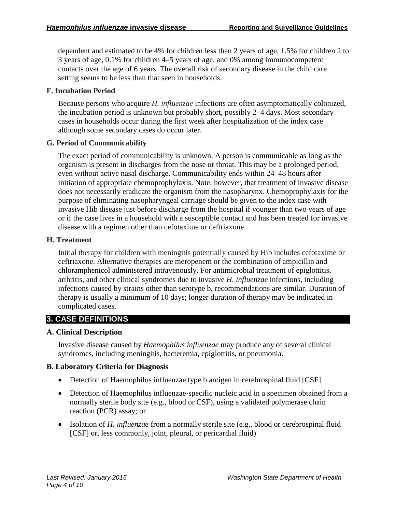dependent and estimated to be 4% for children less than 2 years of age, 1.5% for children 2 to 3 years of age, 0.1% for children 4–5 years of age, and 0% among immunocompetent contacts over the age of 6 years. The overall risk of secondary disease in the child care setting seems to be less than that seen in households.

# **F. Incubation Period**

Because persons who acquire *H. influenzae* infections are often asymptomatically colonized, the incubation period is unknown but probably short, possibly 2–4 days. Most secondary cases in households occur during the first week after hospitalization of the index case although some secondary cases do occur later.

# **G. Period of Communicability**

The exact period of communicability is unknown. A person is communicable as long as the organism is present in discharges from the nose or throat. This may be a prolonged period, even without active nasal discharge. Communicability ends within 24–48 hours after initiation of appropriate chemoprophylaxis. Note, however, that treatment of invasive disease does not necessarily eradicate the organism from the nasopharynx. Chemoprophylaxis for the purpose of eliminating nasopharyngeal carriage should be given to the index case with invasive Hib disease just before discharge from the hospital if younger than two years of age or if the case lives in a household with a susceptible contact and has been treated for invasive disease with a regimen other than cefotaxime or ceftriaxone.

# **H. Treatment**

Initial therapy for children with meningitis potentially caused by Hib includes cefotaxime or ceftriaxone. Alternative therapies are meropenem or the combination of ampicillin and chloramphenicol administered intravenously. For antimicrobial treatment of epiglottitis, arthritis, and other clinical syndromes due to invasive *H. influenzae* infections, including infections caused by strains other than serotype b, recommendations are similar. Duration of therapy is usually a minimum of 10 days; longer duration of therapy may be indicated in complicated cases.

# **3. CASE DEFINITIONS**

#### **A. Clinical Description**

Invasive disease caused by *Haemophilus influenzae* may produce any of several clinical syndromes, including meningitis, bacteremia, epiglottitis, or pneumonia.

#### **B. Laboratory Criteria for Diagnosis**

- Detection of Haemophilus influenzae type b antigen in cerebrospinal fluid [CSF]
- Detection of Haemophilus influenzae-specific nucleic acid in a specimen obtained from a normally sterile body site (e.g., blood or CSF), using a validated polymerase chain reaction (PCR) assay; or
- Isolation of *H. influenzae* from a normally sterile site (e.g., blood or cerebrospinal fluid [CSF] or, less commonly, joint, pleural, or pericardial fluid)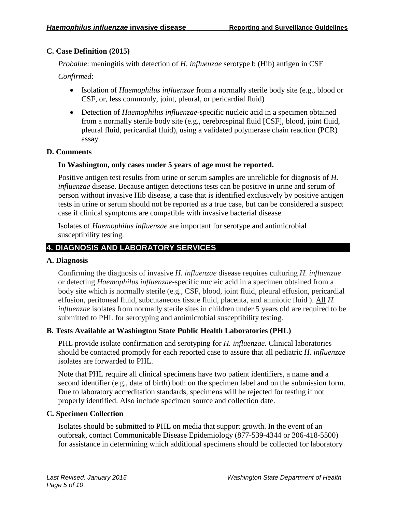# **C. Case Definition (2015)**

*Probable*: meningitis with detection of *H. influenzae* serotype b (Hib) antigen in CSF

*Confirmed*:

- Isolation of *Haemophilus influenzae* from a normally sterile body site (e.g., blood or CSF, or, less commonly, joint, pleural, or pericardial fluid)
- Detection of *Haemophilus influenzae*-specific nucleic acid in a specimen obtained from a normally sterile body site (e.g., cerebrospinal fluid [CSF], blood, joint fluid, pleural fluid, pericardial fluid), using a validated polymerase chain reaction (PCR) assay.

# **D. Comments**

# **In Washington, only cases under 5 years of age must be reported.**

Positive antigen test results from urine or serum samples are unreliable for diagnosis of *H. influenzae* disease. Because antigen detections tests can be positive in urine and serum of person without invasive Hib disease, a case that is identified exclusively by positive antigen tests in urine or serum should not be reported as a true case, but can be considered a suspect case if clinical symptoms are compatible with invasive bacterial disease.

Isolates of *Haemophilus influenzae* are important for serotype and antimicrobial susceptibility testing.

# **4. DIAGNOSIS AND LABORATORY SERVICES**

#### **A. Diagnosis**

Confirming the diagnosis of invasive *H. influenzae* disease requires culturing *H. influenzae* or detecting *Haemophilus influenzae*-specific nucleic acid in a specimen obtained from a body site which is normally sterile (e.g., CSF, blood, joint fluid, pleural effusion, pericardial effusion, peritoneal fluid, subcutaneous tissue fluid, placenta, and amniotic fluid ). All *H. influenzae* isolates from normally sterile sites in children under 5 years old are required to be submitted to PHL for serotyping and antimicrobial susceptibility testing.

# **B. Tests Available at Washington State Public Health Laboratories (PHL)**

PHL provide isolate confirmation and serotyping for *H. influenzae*. Clinical laboratories should be contacted promptly for each reported case to assure that all pediatric *H. influenzae* isolates are forwarded to PHL.

Note that PHL require all clinical specimens have two patient identifiers, a name **and** a second identifier (e.g., date of birth) both on the specimen label and on the submission form. Due to laboratory accreditation standards, specimens will be rejected for testing if not properly identified. Also include specimen source and collection date.

#### **C. Specimen Collection**

Isolates should be submitted to PHL on media that support growth. In the event of an outbreak, contact Communicable Disease Epidemiology (877-539-4344 or 206-418-5500) for assistance in determining which additional specimens should be collected for laboratory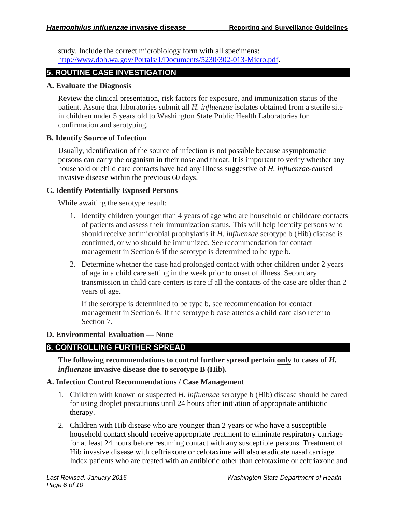study. Include the correct microbiology form with all specimens: [http://www.doh.wa.gov/Portals/1/Documents/5230/302-013-Micro.pdf.](http://www.doh.wa.gov/Portals/1/Documents/5230/302-013-Micro.pdf)

# **5. ROUTINE CASE INVESTIGATION**

#### **A. Evaluate the Diagnosis**

Review the clinical presentation, risk factors for exposure, and immunization status of the patient. Assure that laboratories submit all *H. influenzae* isolates obtained from a sterile site in children under 5 years old to Washington State Public Health Laboratories for confirmation and serotyping.

# **B. Identify Source of Infection**

Usually, identification of the source of infection is not possible because asymptomatic persons can carry the organism in their nose and throat. It is important to verify whether any household or child care contacts have had any illness suggestive of *H. influenzae*-caused invasive disease within the previous 60 days.

# **C. Identify Potentially Exposed Persons**

While awaiting the serotype result:

- 1. Identify children younger than 4 years of age who are household or childcare contacts of patients and assess their immunization status. This will help identify persons who should receive antimicrobial prophylaxis if *H. influenzae* serotype b (Hib) disease is confirmed, or who should be immunized. See recommendation for contact management in Section 6 if the serotype is determined to be type b.
- 2. Determine whether the case had prolonged contact with other children under 2 years of age in a child care setting in the week prior to onset of illness. Secondary transmission in child care centers is rare if all the contacts of the case are older than 2 years of age.

If the serotype is determined to be type b, see recommendation for contact management in Section 6. If the serotype b case attends a child care also refer to Section 7.

# **D. Environmental Evaluation — None**

# **6. CONTROLLING FURTHER SPREAD**

**The following recommendations to control further spread pertain only to cases of** *H. influenzae* **invasive disease due to serotype B (Hib).**

# **A. Infection Control Recommendations / Case Management**

- 1. Children with known or suspected *H. influenzae* serotype b (Hib) disease should be cared for using droplet precautions until 24 hours after initiation of appropriate antibiotic therapy.
- 2. Children with Hib disease who are younger than 2 years or who have a susceptible household contact should receive appropriate treatment to eliminate respiratory carriage for at least 24 hours before resuming contact with any susceptible persons. Treatment of Hib invasive disease with ceftriaxone or cefotaxime will also eradicate nasal carriage. Index patients who are treated with an antibiotic other than cefotaxime or ceftriaxone and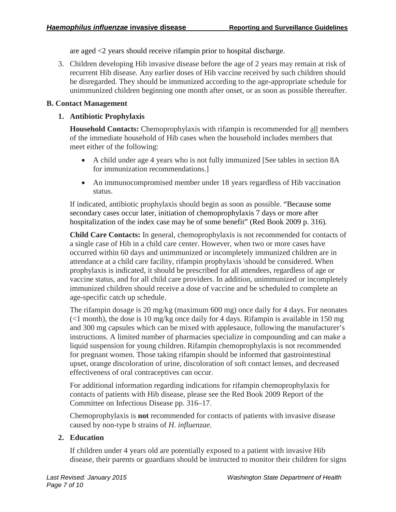are aged <2 years should receive rifampin prior to hospital discharge.

3. Children developing Hib invasive disease before the age of 2 years may remain at risk of recurrent Hib disease. Any earlier doses of Hib vaccine received by such children should be disregarded. They should be immunized according to the age-appropriate schedule for unimmunized children beginning one month after onset, or as soon as possible thereafter.

# **B. Contact Management**

# **1. Antibiotic Prophylaxis**

**Household Contacts:** Chemoprophylaxis with rifampin is recommended for all members of the immediate household of Hib cases when the household includes members that meet either of the following:

- A child under age 4 years who is not fully immunized [See tables in section 8A for immunization recommendations.]
- An immunocompromised member under 18 years regardless of Hib vaccination status.

If indicated, antibiotic prophylaxis should begin as soon as possible. "Because some secondary cases occur later, initiation of chemoprophylaxis 7 days or more after hospitalization of the index case may be of some benefit" (Red Book 2009 p. 316).

**Child Care Contacts:** In general, chemoprophylaxis is not recommended for contacts of a single case of Hib in a child care center. However, when two or more cases have occurred within 60 days and unimmunized or incompletely immunized children are in attendance at a child care facility, rifampin prophylaxis \should be considered. When prophylaxis is indicated, it should be prescribed for all attendees, regardless of age or vaccine status, and for all child care providers. In addition, unimmunized or incompletely immunized children should receive a dose of vaccine and be scheduled to complete an age-specific catch up schedule.

The rifampin dosage is 20 mg/kg (maximum 600 mg) once daily for 4 days. For neonates  $\ll$ 1 month), the dose is 10 mg/kg once daily for 4 days. Rifampin is available in 150 mg and 300 mg capsules which can be mixed with applesauce, following the manufacturer's instructions. A limited number of pharmacies specialize in compounding and can make a liquid suspension for young children. Rifampin chemoprophylaxis is not recommended for pregnant women. Those taking rifampin should be informed that gastrointestinal upset, orange discoloration of urine, discoloration of soft contact lenses, and decreased effectiveness of oral contraceptives can occur.

For additional information regarding indications for rifampin chemoprophylaxis for contacts of patients with Hib disease, please see the Red Book 2009 Report of the Committee on Infectious Disease pp. 316–17.

Chemoprophylaxis is **not** recommended for contacts of patients with invasive disease caused by non-type b strains of *H. influenzae*.

# **2. Education**

If children under 4 years old are potentially exposed to a patient with invasive Hib disease, their parents or guardians should be instructed to monitor their children for signs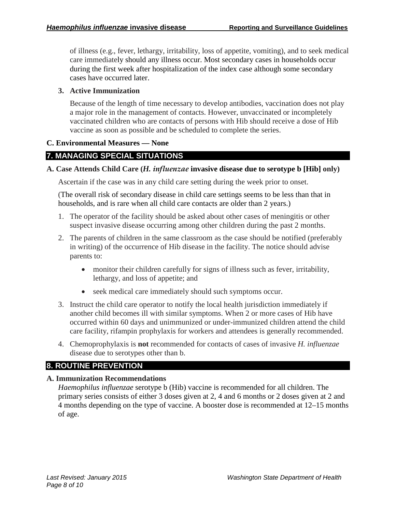of illness (e.g., fever, lethargy, irritability, loss of appetite, vomiting), and to seek medical care immediately should any illness occur. Most secondary cases in households occur during the first week after hospitalization of the index case although some secondary cases have occurred later.

#### **3. Active Immunization**

Because of the length of time necessary to develop antibodies, vaccination does not play a major role in the management of contacts. However, unvaccinated or incompletely vaccinated children who are contacts of persons with Hib should receive a dose of Hib vaccine as soon as possible and be scheduled to complete the series.

#### **C. Environmental Measures — None**

# **7. MANAGING SPECIAL SITUATIONS**

#### **A. Case Attends Child Care (***H. influenzae* **invasive disease due to serotype b [Hib] only)**

Ascertain if the case was in any child care setting during the week prior to onset.

(The overall risk of secondary disease in child care settings seems to be less than that in households, and is rare when all child care contacts are older than 2 years.)

- 1. The operator of the facility should be asked about other cases of meningitis or other suspect invasive disease occurring among other children during the past 2 months.
- 2. The parents of children in the same classroom as the case should be notified (preferably in writing) of the occurrence of Hib disease in the facility. The notice should advise parents to:
	- monitor their children carefully for signs of illness such as fever, irritability, lethargy, and loss of appetite; and
	- seek medical care immediately should such symptoms occur.
- 3. Instruct the child care operator to notify the local health jurisdiction immediately if another child becomes ill with similar symptoms. When 2 or more cases of Hib have occurred within 60 days and unimmunized or under-immunized children attend the child care facility, rifampin prophylaxis for workers and attendees is generally recommended.
- 4. Chemoprophylaxis is **not** recommended for contacts of cases of invasive *H. influenzae* disease due to serotypes other than b.

# **8. ROUTINE PREVENTION**

#### **A. Immunization Recommendations**

*Haemophilus influenzae* serotype b (Hib) vaccine is recommended for all children. The primary series consists of either 3 doses given at 2, 4 and 6 months or 2 doses given at 2 and 4 months depending on the type of vaccine. A booster dose is recommended at 12–15 months of age.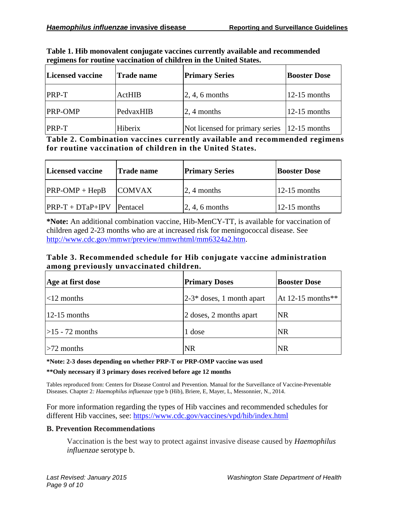| Licensed vaccine | <b>Trade name</b> | <b>Primary Series</b>           | <b>Booster Dose</b> |
|------------------|-------------------|---------------------------------|---------------------|
| <b>PRP-T</b>     | <b>ActHIB</b>     | $\vert 2, 4, 6$ months          | $12-15$ months      |
| <b>PRP-OMP</b>   | PedvaxHIB         | $\sqrt{2}$ , 4 months           | $12-15$ months      |
| <b>PRP-T</b>     | Hiberix           | Not licensed for primary series | $ 12-15$ months     |

**Table 1. Hib monovalent conjugate vaccines currently available and recommended regimens for routine vaccination of children in the United States.**

**Table 2. Combination vaccines currently available and recommended regimens for routine vaccination of children in the United States.**

| Licensed vaccine   | <b>Trade name</b> | <b>Primary Series</b>  | <b>Booster Dose</b> |
|--------------------|-------------------|------------------------|---------------------|
| $PRP-OMP + HepB$   | <b>COMVAX</b>     | $\vert 2, 4$ months    | $12-15$ months      |
| $PRP-T + DTaP+IPV$ | <b>Pentacel</b>   | $\vert 2, 4, 6$ months | $12-15$ months      |

**\*Note:** An additional combination vaccine, Hib-MenCY-TT, is available for vaccination of children aged 2-23 months who are at increased risk for meningococcal disease. See [http://www.cdc.gov/mmwr/preview/mmwrhtml/mm6324a2.htm.](http://www.cdc.gov/mmwr/preview/mmwrhtml/mm6324a2.htm)

#### **Table 3. Recommended schedule for Hib conjugate vaccine administration among previously unvaccinated children.**

| Age at first dose | <b>Primary Doses</b>         | <b>Booster Dose</b> |
|-------------------|------------------------------|---------------------|
| $ $ <12 months    | $ 2-3*$ doses, 1 month apart | At 12-15 months**   |
| $12-15$ months    | 2 doses, 2 months apart      | <b>NR</b>           |
| $>15 - 72$ months | 1 dose                       | <b>NR</b>           |
| $>72$ months      | <b>NR</b>                    | <b>NR</b>           |

**\*Note: 2-3 doses depending on whether PRP-T or PRP-OMP vaccine was used**

#### **\*\*Only necessary if 3 primary doses received before age 12 months**

Tables reproduced from: Centers for Disease Control and Prevention. Manual for the Surveillance of Vaccine-Preventable Diseases. Chapter 2*: Haemophilus influenzae* type b (Hib), Briere, E, Mayer, L, Messonnier, N., 2014.

For more information regarding the types of Hib vaccines and recommended schedules for different Hib vaccines, see:<https://www.cdc.gov/vaccines/vpd/hib/index.html>

#### **B. Prevention Recommendations**

Vaccination is the best way to protect against invasive disease caused by *Haemophilus influenzae* serotype b.